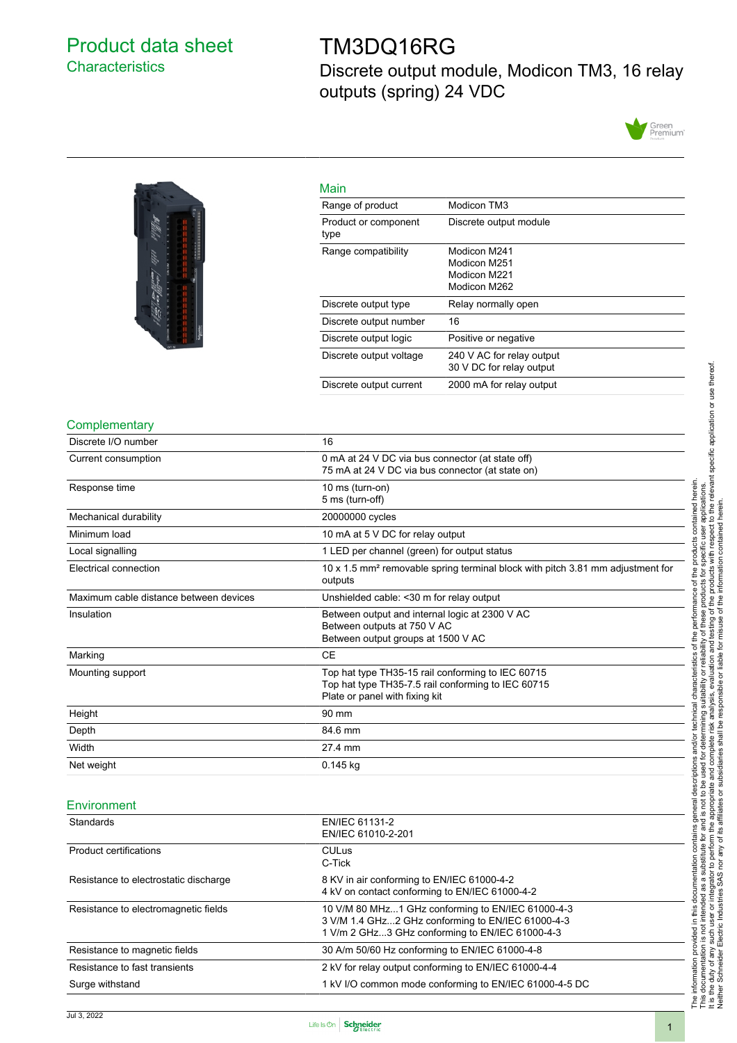# <span id="page-0-0"></span>Product data sheet **Characteristics**

# TM3DQ16RG

Discrete output module, Modicon TM3, 16 relay outputs (spring) 24 VDC





| Main                         |                                                              |
|------------------------------|--------------------------------------------------------------|
| Range of product             | Modicon TM3                                                  |
| Product or component<br>type | Discrete output module                                       |
| Range compatibility          | Modicon M241<br>Modicon M251<br>Modicon M221<br>Modicon M262 |
| Discrete output type         | Relay normally open                                          |
| Discrete output number       | 16                                                           |
| Discrete output logic        | Positive or negative                                         |
| Discrete output voltage      | 240 V AC for relay output<br>30 V DC for relay output        |
| Discrete output current      | 2000 mA for relay output                                     |

#### **Complementary**

| Discrete I/O number                    | 16                                                                                                                                        |
|----------------------------------------|-------------------------------------------------------------------------------------------------------------------------------------------|
| Current consumption                    | 0 mA at 24 V DC via bus connector (at state off)<br>75 mA at 24 V DC via bus connector (at state on)                                      |
| Response time                          | 10 ms (turn-on)<br>5 ms (turn-off)                                                                                                        |
| Mechanical durability                  | 20000000 cycles                                                                                                                           |
| Minimum load                           | 10 mA at 5 V DC for relay output                                                                                                          |
| Local signalling                       | 1 LED per channel (green) for output status                                                                                               |
| Electrical connection                  | 10 x 1.5 mm <sup>2</sup> removable spring terminal block with pitch 3.81 mm adjustment for<br>outputs                                     |
| Maximum cable distance between devices | Unshielded cable: < 30 m for relay output                                                                                                 |
| Insulation                             | Between output and internal logic at 2300 V AC<br>Between outputs at 750 V AC<br>Between output groups at 1500 V AC                       |
| Marking                                | <b>CE</b>                                                                                                                                 |
| Mounting support                       | Top hat type TH35-15 rail conforming to IEC 60715<br>Top hat type TH35-7.5 rail conforming to IEC 60715<br>Plate or panel with fixing kit |
| Height                                 | 90 mm                                                                                                                                     |
| Depth                                  | 84.6 mm                                                                                                                                   |
| Width                                  | 27.4 mm                                                                                                                                   |
| Net weight                             | $0.145$ kg                                                                                                                                |

#### **Environment**

| <b>Standards</b>                      | EN/IEC 61131-2<br>EN/IEC 61010-2-201                                                                                                                      |
|---------------------------------------|-----------------------------------------------------------------------------------------------------------------------------------------------------------|
| <b>Product certifications</b>         | <b>CULus</b><br>C-Tick                                                                                                                                    |
| Resistance to electrostatic discharge | 8 KV in air conforming to EN/IEC 61000-4-2<br>4 kV on contact conforming to EN/IEC 61000-4-2                                                              |
| Resistance to electromagnetic fields  | 10 V/M 80 MHz1 GHz conforming to EN/IEC 61000-4-3<br>3 V/M 1.4 GHz2 GHz conforming to EN/IEC 61000-4-3<br>1 V/m 2 GHz3 GHz conforming to EN/IEC 61000-4-3 |
| Resistance to magnetic fields         | 30 A/m 50/60 Hz conforming to EN/IEC 61000-4-8                                                                                                            |
| Resistance to fast transients         | 2 kV for relay output conforming to EN/IEC 61000-4-4                                                                                                      |
| Surge withstand                       | 1 kV I/O common mode conforming to EN/IEC 61000-4-5 DC                                                                                                    |

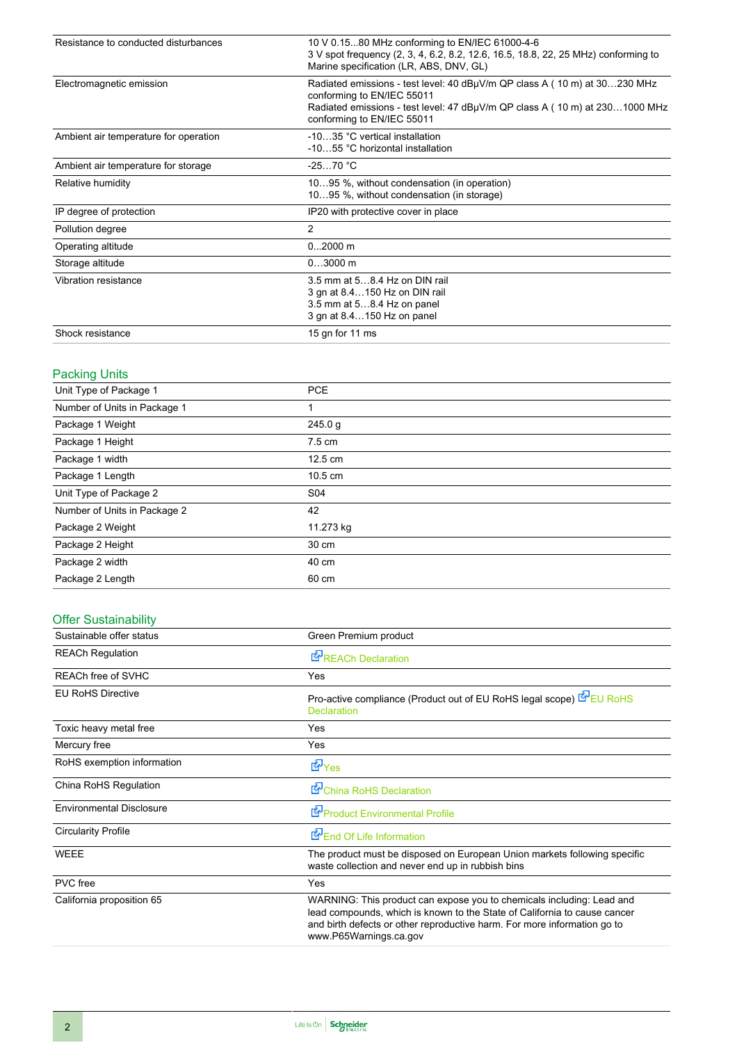| Resistance to conducted disturbances  | 10 V 0.1580 MHz conforming to EN/IEC 61000-4-6<br>3 V spot frequency (2, 3, 4, 6.2, 8.2, 12.6, 16.5, 18.8, 22, 25 MHz) conforming to<br>Marine specification (LR, ABS, DNV, GL)                                      |
|---------------------------------------|----------------------------------------------------------------------------------------------------------------------------------------------------------------------------------------------------------------------|
| Electromagnetic emission              | Radiated emissions - test level: 40 dBµV/m QP class A (10 m) at 30230 MHz<br>conforming to EN/IEC 55011<br>Radiated emissions - test level: 47 dBµV/m QP class A (10 m) at 2301000 MHz<br>conforming to EN/IEC 55011 |
| Ambient air temperature for operation | -1035 °C vertical installation<br>-1055 °C horizontal installation                                                                                                                                                   |
| Ambient air temperature for storage   | $-2570 °C$                                                                                                                                                                                                           |
| Relative humidity                     | 1095 %, without condensation (in operation)<br>1095 %, without condensation (in storage)                                                                                                                             |
| IP degree of protection               | IP20 with protective cover in place                                                                                                                                                                                  |
| Pollution degree                      | 2                                                                                                                                                                                                                    |
| Operating altitude                    | $02000$ m                                                                                                                                                                                                            |
| Storage altitude                      | $03000$ m                                                                                                                                                                                                            |
| Vibration resistance                  | 3.5 mm at 58.4 Hz on DIN rail<br>3 gn at 8.4150 Hz on DIN rail<br>3.5 mm at 58.4 Hz on panel<br>3 gn at 8.4150 Hz on panel                                                                                           |
| Shock resistance                      | 15 gn for 11 ms                                                                                                                                                                                                      |

### Packing Units

| ີ                            |                   |
|------------------------------|-------------------|
| Unit Type of Package 1       | <b>PCE</b>        |
| Number of Units in Package 1 |                   |
| Package 1 Weight             | 245.0 g           |
| Package 1 Height             | $7.5 \text{ cm}$  |
| Package 1 width              | $12.5 \text{ cm}$ |
| Package 1 Length             | $10.5 \text{ cm}$ |
| Unit Type of Package 2       | S04               |
| Number of Units in Package 2 | 42                |
| Package 2 Weight             | 11.273 kg         |
| Package 2 Height             | 30 cm             |
| Package 2 width              | 40 cm             |
| Package 2 Length             | 60 cm             |
|                              |                   |

### Offer Sustainability

| Sustainable offer status        | Green Premium product                                                                                                                                                                                                                                    |
|---------------------------------|----------------------------------------------------------------------------------------------------------------------------------------------------------------------------------------------------------------------------------------------------------|
| <b>REACh Regulation</b>         | REACh Declaration                                                                                                                                                                                                                                        |
| <b>REACh free of SVHC</b>       | Yes                                                                                                                                                                                                                                                      |
| <b>EU RoHS Directive</b>        | Pro-active compliance (Product out of EU RoHS legal scope) EU RoHS<br><b>Declaration</b>                                                                                                                                                                 |
| Toxic heavy metal free          | Yes                                                                                                                                                                                                                                                      |
| Mercury free                    | Yes                                                                                                                                                                                                                                                      |
| RoHS exemption information      | <b>E</b> Yes                                                                                                                                                                                                                                             |
| China RoHS Regulation           | China RoHS Declaration                                                                                                                                                                                                                                   |
| <b>Environmental Disclosure</b> | Product Environmental Profile                                                                                                                                                                                                                            |
| <b>Circularity Profile</b>      | End Of Life Information                                                                                                                                                                                                                                  |
| <b>WEEE</b>                     | The product must be disposed on European Union markets following specific<br>waste collection and never end up in rubbish bins                                                                                                                           |
| PVC free                        | Yes                                                                                                                                                                                                                                                      |
| California proposition 65       | WARNING: This product can expose you to chemicals including: Lead and<br>lead compounds, which is known to the State of California to cause cancer<br>and birth defects or other reproductive harm. For more information go to<br>www.P65Warnings.ca.gov |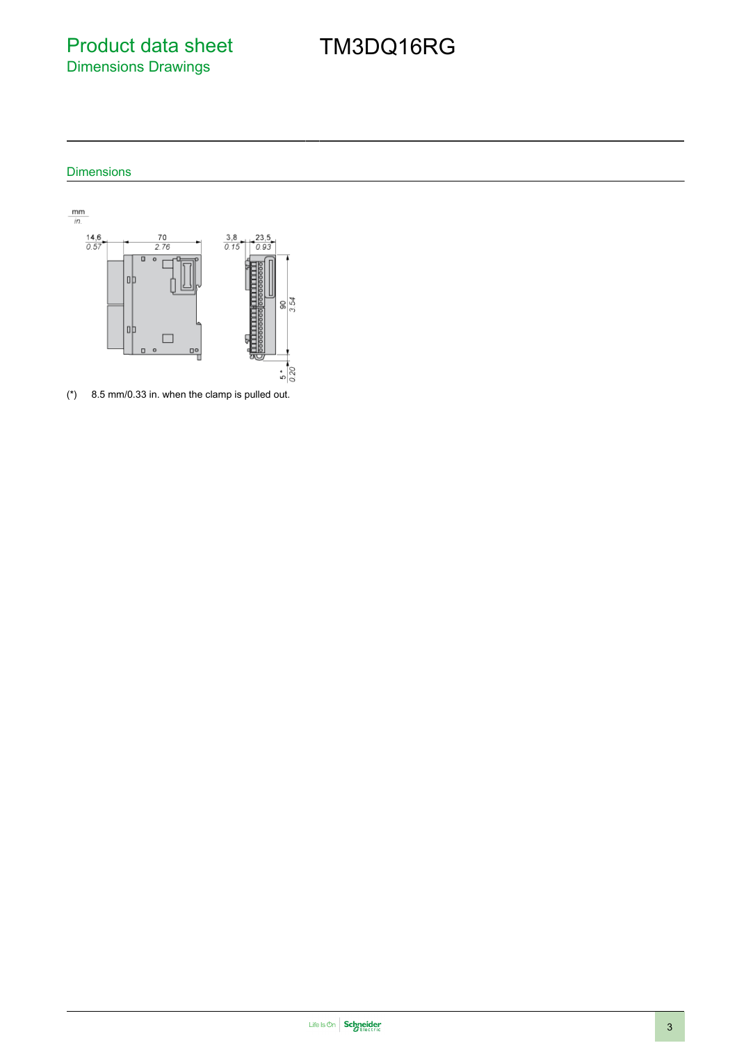Product data sheet Dimensions Drawings

# TM3DQ16RG

### Dimensions



(\*) 8.5 mm/0.33 in. when the clamp is pulled out.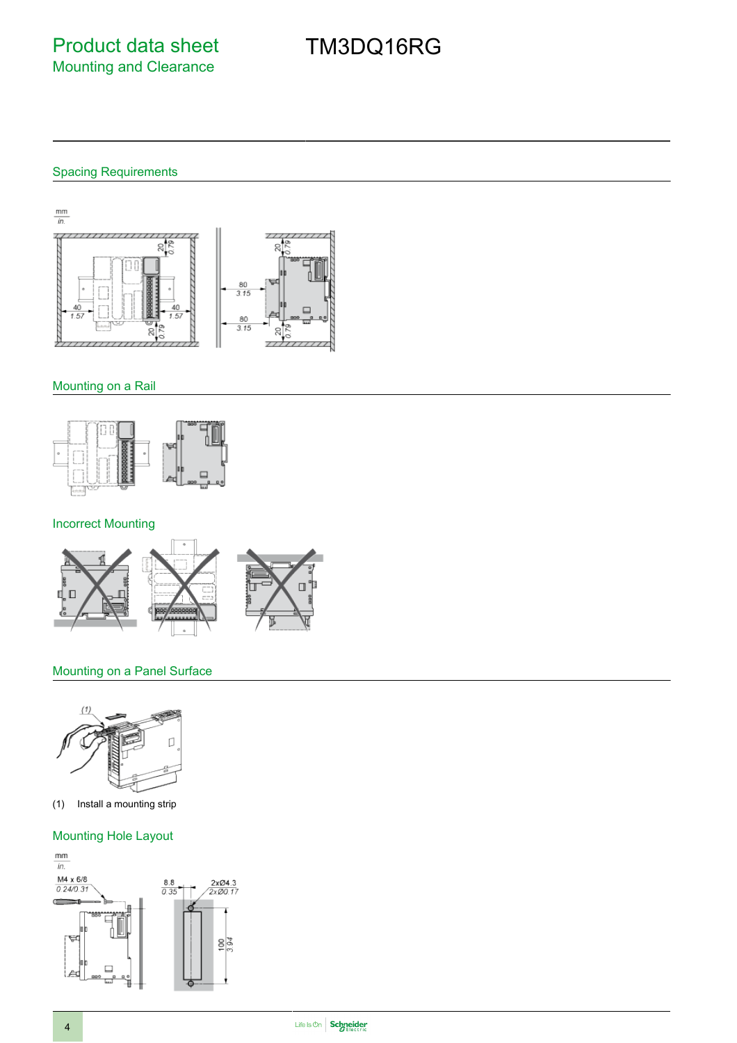# TM3DQ16RG

## Spacing Requirements



### Mounting on a Rail



### Incorrect Mounting



### Mounting on a Panel Surface



(1) Install a mounting strip

### Mounting Hole Layout

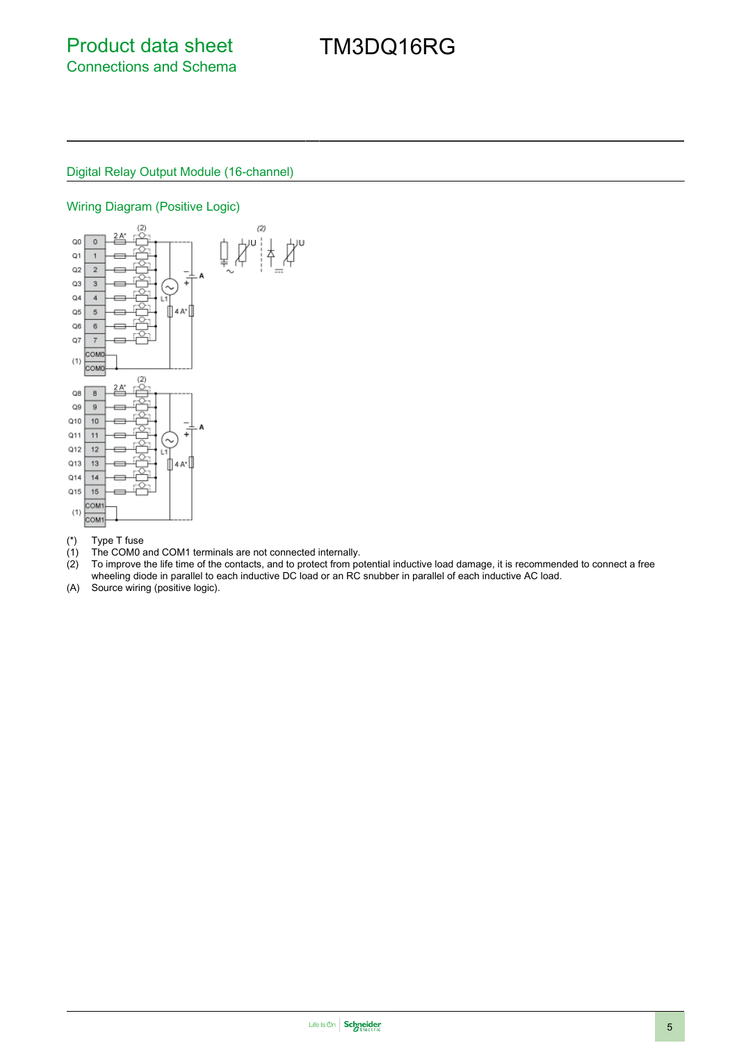# TM3DQ16RG

#### Digital Relay Output Module (16-channel)

#### Wiring Diagram (Positive Logic)



- 
- (\*) Type T fuse (1) The COM0 and COM1 terminals are not connected internally.<br>(2) To improve the life time of the contacts, and to protect from port
- To improve the life time of the contacts, and to protect from potential inductive load damage, it is recommended to connect a free wheeling diode in parallel to each inductive DC load or an RC snubber in parallel of each inductive AC load.
- (A) Source wiring (positive logic).